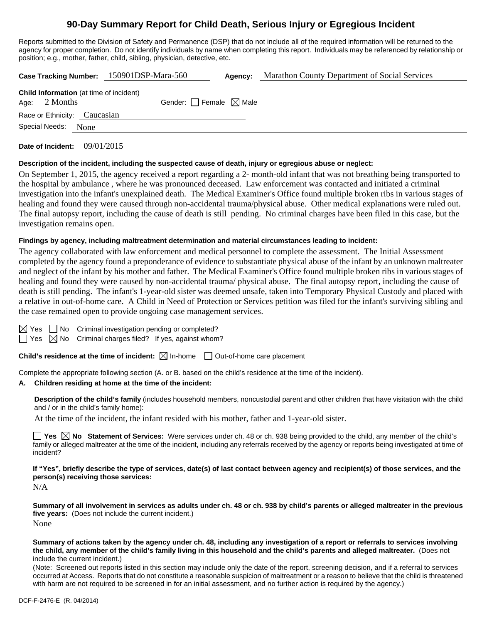# **90-Day Summary Report for Child Death, Serious Injury or Egregious Incident**

Reports submitted to the Division of Safety and Permanence (DSP) that do not include all of the required information will be returned to the agency for proper completion. Do not identify individuals by name when completing this report. Individuals may be referenced by relationship or position; e.g., mother, father, child, sibling, physician, detective, etc.

|                                                                   | Case Tracking Number: 150901DSP-Mara-560 | Agency: | Marathon County Department of Social Services |
|-------------------------------------------------------------------|------------------------------------------|---------|-----------------------------------------------|
| <b>Child Information</b> (at time of incident)<br>Age: $2$ Months | Gender: Female $\boxtimes$ Male          |         |                                               |
| Race or Ethnicity: Caucasian                                      |                                          |         |                                               |
| Special Needs:<br><b>None</b>                                     |                                          |         |                                               |
|                                                                   |                                          |         |                                               |

**Date of Incident:** 09/01/2015

#### **Description of the incident, including the suspected cause of death, injury or egregious abuse or neglect:**

On September 1, 2015, the agency received a report regarding a 2- month-old infant that was not breathing being transported to the hospital by ambulance , where he was pronounced deceased. Law enforcement was contacted and initiated a criminal investigation into the infant's unexplained death. The Medical Examiner's Office found multiple broken ribs in various stages of healing and found they were caused through non-accidental trauma/physical abuse. Other medical explanations were ruled out. The final autopsy report, including the cause of death is still pending. No criminal charges have been filed in this case, but the investigation remains open.

#### **Findings by agency, including maltreatment determination and material circumstances leading to incident:**

The agency collaborated with law enforcement and medical personnel to complete the assessment. The Initial Assessment completed by the agency found a preponderance of evidence to substantiate physical abuse of the infant by an unknown maltreater and neglect of the infant by his mother and father. The Medical Examiner's Office found multiple broken ribs in various stages of healing and found they were caused by non-accidental trauma/ physical abuse. The final autopsy report, including the cause of death is still pending. The infant's 1-year-old sister was deemed unsafe, taken into Temporary Physical Custody and placed with a relative in out-of-home care. A Child in Need of Protection or Services petition was filed for the infant's surviving sibling and the case remained open to provide ongoing case management services.

 $\Box$  No Criminal investigation pending or completed?

 $\Box$  Yes  $\boxtimes$  No Criminal charges filed? If yes, against whom?

**Child's residence at the time of incident:**  $\boxtimes$  In-home  $\Box$  Out-of-home care placement

Complete the appropriate following section (A. or B. based on the child's residence at the time of the incident).

### **A. Children residing at home at the time of the incident:**

**Description of the child's family** (includes household members, noncustodial parent and other children that have visitation with the child and / or in the child's family home):

At the time of the incident, the infant resided with his mother, father and 1-year-old sister.

**Yes No Statement of Services:** Were services under ch. 48 or ch. 938 being provided to the child, any member of the child's family or alleged maltreater at the time of the incident, including any referrals received by the agency or reports being investigated at time of incident?

**If "Yes", briefly describe the type of services, date(s) of last contact between agency and recipient(s) of those services, and the person(s) receiving those services:** 

N/A

**Summary of all involvement in services as adults under ch. 48 or ch. 938 by child's parents or alleged maltreater in the previous five years:** (Does not include the current incident.) None

**Summary of actions taken by the agency under ch. 48, including any investigation of a report or referrals to services involving the child, any member of the child's family living in this household and the child's parents and alleged maltreater.** (Does not include the current incident.)

(Note: Screened out reports listed in this section may include only the date of the report, screening decision, and if a referral to services occurred at Access. Reports that do not constitute a reasonable suspicion of maltreatment or a reason to believe that the child is threatened with harm are not required to be screened in for an initial assessment, and no further action is required by the agency.)